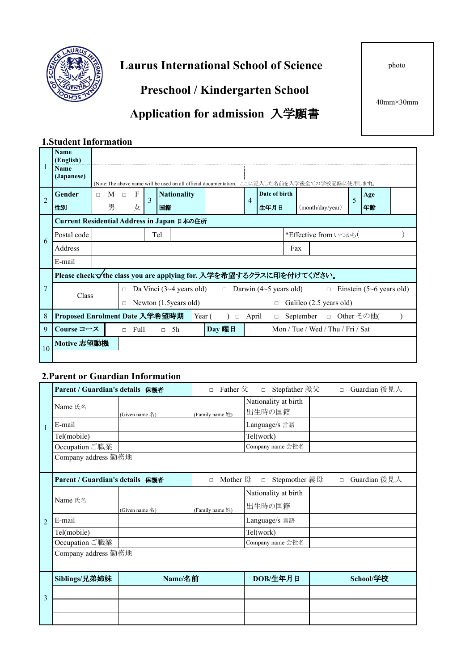

**Laurus International School of Science** 

**Preschool / Kindergarten School**

**Application for admission** 入学願書

40mm×30mm

#### **1.Student Information**

|                                            | <b>Name</b><br>(English)                                           |        |            |        |              |   |     |                        |  |                        |                |  |      |  |               |                  |                                                                                               |    |          |  |  |
|--------------------------------------------|--------------------------------------------------------------------|--------|------------|--------|--------------|---|-----|------------------------|--|------------------------|----------------|--|------|--|---------------|------------------|-----------------------------------------------------------------------------------------------|----|----------|--|--|
|                                            | <b>Name</b><br>(Japanese)                                          |        |            |        |              |   |     |                        |  |                        |                |  |      |  |               |                  | (Note:The above name will be used on all official documentation. ここに記入した名前を入学後全ての学校記録に使用します)。 |    |          |  |  |
| $\overline{2}$                             | Gender                                                             | $\Box$ | $M$ $\Box$ |        | $\mathbf{F}$ | 3 |     | <b>Nationality</b>     |  |                        | $\overline{4}$ |  |      |  | Date of birth |                  |                                                                                               |    | Age<br>5 |  |  |
|                                            | 性別                                                                 |        | 男          |        | 女            |   | 国籍  |                        |  |                        |                |  | 生年月日 |  |               | (month/day/year) |                                                                                               | 年齢 |          |  |  |
| Current Residential Address in Japan 日本の住所 |                                                                    |        |            |        |              |   |     |                        |  |                        |                |  |      |  |               |                  |                                                                                               |    |          |  |  |
| 6                                          | Postal code                                                        |        |            |        |              |   | Tel |                        |  |                        |                |  |      |  |               |                  | *Effective from いつから(                                                                         |    |          |  |  |
|                                            | Address                                                            |        | Fax        |        |              |   |     |                        |  |                        |                |  |      |  |               |                  |                                                                                               |    |          |  |  |
|                                            | E-mail                                                             |        |            |        |              |   |     |                        |  |                        |                |  |      |  |               |                  |                                                                                               |    |          |  |  |
|                                            | Please check√the class you are applying for. 入学を希望するクラスに印を付けてください。 |        |            |        |              |   |     |                        |  |                        |                |  |      |  |               |                  |                                                                                               |    |          |  |  |
| 7                                          | Class                                                              |        |            | $\Box$ |              |   |     |                        |  |                        |                |  |      |  |               |                  | Da Vinci (3~4 years old) $\Box$ Darwin (4~5 years old) $\Box$ Einstein (5~6 years old)        |    |          |  |  |
|                                            |                                                                    |        |            | П      |              |   |     | Newton (1.5 years old) |  |                        |                |  |      |  | $\Box$        |                  | Galileo (2.5 years old)                                                                       |    |          |  |  |
| 8                                          | Proposed Enrolment Date 入学希望時期<br>Year (<br>April<br>$\Box$        |        |            |        |              |   |     | $\Box$                 |  | September □ Other その他( |                |  |      |  |               |                  |                                                                                               |    |          |  |  |
| 9                                          | Course コース                                                         |        |            |        | $\Box$ Full  |   |     | $\Box$ 5h              |  |                        | Day 曜日         |  |      |  |               |                  | Mon / Tue / Wed / Thu / Fri / Sat                                                             |    |          |  |  |
| 10                                         | Motive 志望動機                                                        |        |            |        |              |   |     |                        |  |                        |                |  |      |  |               |                  |                                                                                               |    |          |  |  |
|                                            |                                                                    |        |            |        |              |   |     |                        |  |                        |                |  |      |  |               |                  |                                                                                               |    |          |  |  |

#### **2.Parent or Guardian Information**

|                | Parent / Guardian's details 保護者 |                | Father $\hat{\chi}$<br>$\Box$ | Stepfather 義父<br>$\Box$        | $\Box$ | Guardian 後見人 |  |  |  |  |
|----------------|---------------------------------|----------------|-------------------------------|--------------------------------|--------|--------------|--|--|--|--|
|                | Name 氏名                         | (Given name 名) | (Family name 姓)               | Nationality at birth<br>出生時の国籍 |        |              |  |  |  |  |
| $\mathbf{1}$   | E-mail                          |                |                               | Language/s 言語                  |        |              |  |  |  |  |
|                | Tel(mobile)                     |                |                               | Tel(work)                      |        |              |  |  |  |  |
|                | Occupation ご職業                  |                |                               | Company name 会社名               |        |              |  |  |  |  |
|                | Company address 勤務地             |                |                               |                                |        |              |  |  |  |  |
|                | Parent / Guardian's details 保護者 |                | Mother 母<br>$\Box$            | Stepmother 義母<br>$\Box$        | $\Box$ | Guardian 後見人 |  |  |  |  |
|                |                                 |                |                               | Nationality at birth           |        |              |  |  |  |  |
|                | Name 氏名                         | (Given name 名) | (Family name 姓)               | 出生時の国籍                         |        |              |  |  |  |  |
| $\overline{2}$ | E-mail                          |                |                               | Language/s 言語                  |        |              |  |  |  |  |
|                | Tel(mobile)                     |                |                               | Tel(work)                      |        |              |  |  |  |  |
|                | Occupation ご職業                  |                |                               | Company name 会社名               |        |              |  |  |  |  |
|                | Company address 勤務地             |                |                               |                                |        |              |  |  |  |  |
|                |                                 |                |                               |                                |        |              |  |  |  |  |
|                | Siblings/兄弟姉妹                   | Name/名前        |                               | DOB/生年月日                       |        | School/学校    |  |  |  |  |
| 3              |                                 |                |                               |                                |        |              |  |  |  |  |
|                |                                 |                |                               |                                |        |              |  |  |  |  |
|                |                                 |                |                               |                                |        |              |  |  |  |  |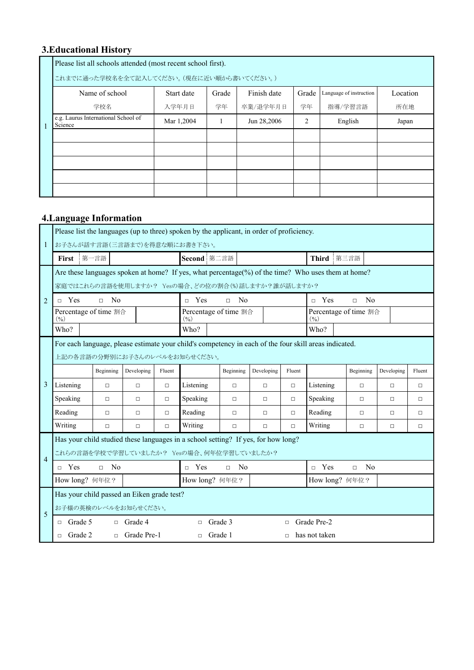# **3.Educational History**

|                | Please list all schools attended (most recent school first).<br>これまでに通った学校名を全て記入してください。 (現在に近い順から書いてください。)                                              |                |                |            |                                 |         |                          |             |        |               |            |                          |            |        |
|----------------|---------------------------------------------------------------------------------------------------------------------------------------------------------|----------------|----------------|------------|---------------------------------|---------|--------------------------|-------------|--------|---------------|------------|--------------------------|------------|--------|
|                |                                                                                                                                                         | Name of school |                |            | Start date                      | Grade   |                          | Finish date |        | Grade         |            | Language of instruction  | Location   |        |
|                |                                                                                                                                                         | 学校名            |                |            | 入学年月日                           | 学年      |                          | 卒業/退学年月日    |        | 学年            | 指導/学習言語    |                          | 所在地        |        |
|                | e.g. Laurus International School of<br>Science                                                                                                          |                |                | Mar 1,2004 |                                 | 1       |                          | Jun 28,2006 |        | 2             |            | English                  | Japan      |        |
| $\mathbf{1}$   |                                                                                                                                                         |                |                |            |                                 |         |                          |             |        |               |            |                          |            |        |
|                |                                                                                                                                                         |                |                |            |                                 |         |                          |             |        |               |            |                          |            |        |
|                |                                                                                                                                                         |                |                |            |                                 |         |                          |             |        |               |            |                          |            |        |
|                |                                                                                                                                                         |                |                |            |                                 |         |                          |             |        |               |            |                          |            |        |
|                |                                                                                                                                                         |                |                |            |                                 |         |                          |             |        |               |            |                          |            |        |
|                |                                                                                                                                                         |                |                |            |                                 |         |                          |             |        |               |            |                          |            |        |
|                | <b>4. Language Information</b>                                                                                                                          |                |                |            |                                 |         |                          |             |        |               |            |                          |            |        |
|                | Please list the languages (up to three) spoken by the applicant, in order of proficiency.                                                               |                |                |            |                                 |         |                          |             |        |               |            |                          |            |        |
| $\mathbf{1}$   | お子さんが話す言語(三言語まで)を得意な順にお書き下さい。                                                                                                                           |                |                |            |                                 |         |                          |             |        |               |            |                          |            |        |
|                | First                                                                                                                                                   | 第一言語           |                |            | Second 第二言語                     |         |                          |             |        |               | Third 第三言語 |                          |            |        |
|                | Are these languages spoken at home? If yes, what percentage(%) of the time? Who uses them at home?<br>家庭ではこれらの言語を使用しますか? Yesの場合、どの位の割合(%)話しますか?誰が話しますか? |                |                |            |                                 |         |                          |             |        |               |            |                          |            |        |
|                |                                                                                                                                                         |                |                |            |                                 |         |                          |             |        |               |            |                          |            |        |
| $\overline{2}$ | $\Box$ Yes                                                                                                                                              | $\Box$ No      |                |            | $\Box$ Yes                      |         | N <sub>0</sub><br>$\Box$ |             |        | $\Box$ Yes    |            | N <sub>0</sub><br>$\Box$ |            |        |
|                | Percentage of time 割合<br>(9/0)                                                                                                                          |                |                |            | Percentage of time 割合<br>$(\%)$ |         |                          |             |        | (9/0)         |            | Percentage of time 割合    |            |        |
|                | Who?                                                                                                                                                    |                |                |            | Who?                            |         |                          |             |        | Who?          |            |                          |            |        |
|                | For each language, please estimate your child's competency in each of the four skill areas indicated.                                                   |                |                |            |                                 |         |                          |             |        |               |            |                          |            |        |
|                | 上記の各言語の分野別にお子さんのレベルをお知らせください。                                                                                                                           |                |                |            |                                 |         |                          |             |        |               |            |                          |            |        |
|                |                                                                                                                                                         | Beginning      | Developing     | Fluent     |                                 |         | Beginning                | Developing  | Fluent |               |            | Beginning                | Developing | Fluent |
| 3              | Listening                                                                                                                                               | $\Box$         | $\Box$         | $\Box$     | Listening                       |         | $\Box$                   | $\Box$      | $\Box$ | Listening     |            | $\Box$                   | $\Box$     | $\Box$ |
|                | Speaking                                                                                                                                                | $\Box$         | $\Box$         | □          | Speaking                        |         | □                        | $\Box$      | $\Box$ | Speaking      |            | $\Box$                   | $\Box$     | $\Box$ |
|                | Reading                                                                                                                                                 |                | □              | $\Box$     | Reading                         |         | $\Box$                   | □           | $\Box$ | Reading       |            | $\Box$                   | □          | ⊔      |
|                | Writing                                                                                                                                                 | $\Box$         | $\Box$         | $\Box$     | Writing                         |         | $\Box$                   | $\Box$      | $\Box$ | Writing       |            | $\Box$                   | $\Box$     | $\Box$ |
|                | Has your child studied these languages in a school setting? If yes, for how long?                                                                       |                |                |            |                                 |         |                          |             |        |               |            |                          |            |        |
| $\overline{4}$ | これらの言語を学校で学習していましたか? Yesの場合、何年位学習していましたか?                                                                                                               |                |                |            |                                 |         |                          |             |        |               |            |                          |            |        |
|                | $\Box$ Yes                                                                                                                                              | $\Box$ No      |                |            | $\Box$ Yes                      |         | $\Box$ No                |             |        | $\Box$ Yes    |            | N <sub>0</sub><br>$\Box$ |            |        |
|                | How long? 何年位?                                                                                                                                          |                |                |            | How long? 何年位?                  |         |                          |             |        |               |            | How long? 何年位?           |            |        |
|                | Has your child passed an Eiken grade test?                                                                                                              |                |                |            |                                 |         |                          |             |        |               |            |                          |            |        |
| 5              | お子様の英検のレベルをお知らせください。                                                                                                                                    |                |                |            |                                 |         |                          |             |        |               |            |                          |            |        |
|                | Grade 5<br>$\Box$                                                                                                                                       |                | $\Box$ Grade 4 |            | $\Box$                          | Grade 3 |                          |             | $\Box$ | Grade Pre-2   |            |                          |            |        |
|                | Grade 2<br>$\Box$                                                                                                                                       | $\Box$         | Grade Pre-1    |            | $\Box$                          | Grade 1 |                          |             | $\Box$ | has not taken |            |                          |            |        |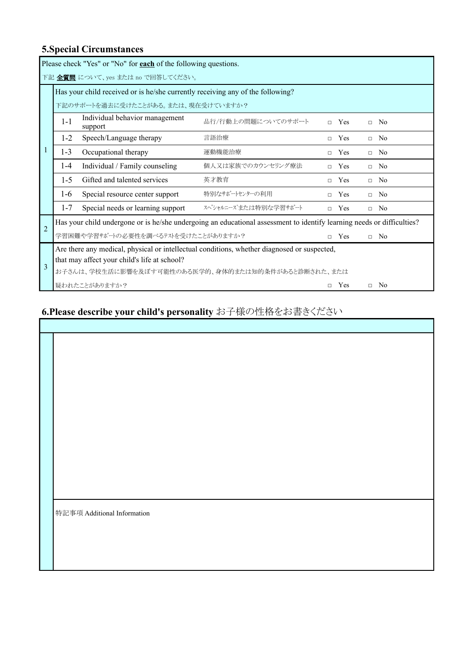## **5.Special Circumstances**

|                                                                                                          |                                                                                             | Please check "Yes" or "No" for <b>each</b> of the following questions. |                                                                                                                        |        |     |           |  |  |  |  |  |  |  |
|----------------------------------------------------------------------------------------------------------|---------------------------------------------------------------------------------------------|------------------------------------------------------------------------|------------------------------------------------------------------------------------------------------------------------|--------|-----|-----------|--|--|--|--|--|--|--|
|                                                                                                          | 下記 全質問 について、yes または no で回答してください。                                                           |                                                                        |                                                                                                                        |        |     |           |  |  |  |  |  |  |  |
|                                                                                                          | Has your child received or is he/she currently receiving any of the following?              |                                                                        |                                                                                                                        |        |     |           |  |  |  |  |  |  |  |
|                                                                                                          | 下記のサポートを過去に受けたことがある。または、現在受けていますか?                                                          |                                                                        |                                                                                                                        |        |     |           |  |  |  |  |  |  |  |
| Individual behavior management<br>品行/行動上の問題についてのサポート<br>$1 - 1$<br>Yes<br>$\Box$ No<br>$\Box$<br>support |                                                                                             |                                                                        |                                                                                                                        |        |     |           |  |  |  |  |  |  |  |
|                                                                                                          | $1 - 2$<br>Speech/Language therapy<br>言語治療<br>Yes<br>No.<br>$\Box$<br>$\Box$                |                                                                        |                                                                                                                        |        |     |           |  |  |  |  |  |  |  |
|                                                                                                          | $1 - 3$<br>Occupational therapy<br>運動機能治療<br>Yes<br>No<br>$\Box$<br>$\Box$                  |                                                                        |                                                                                                                        |        |     |           |  |  |  |  |  |  |  |
|                                                                                                          | $1-4$                                                                                       | Individual / Family counseling                                         | 個人又は家族でのカウンセリング療法                                                                                                      | $\Box$ | Yes | $\Box$ No |  |  |  |  |  |  |  |
|                                                                                                          | $1 - 5$                                                                                     | Gifted and talented services                                           | 英才教育                                                                                                                   | $\Box$ | Yes | $\Box$ No |  |  |  |  |  |  |  |
|                                                                                                          | $1-6$                                                                                       | Special resource center support                                        | 特別なサポートセンターの利用                                                                                                         | $\Box$ | Yes | $\Box$ No |  |  |  |  |  |  |  |
|                                                                                                          | $1 - 7$                                                                                     | Special needs or learning support                                      | スペシャルニーズまたは特別な学習サポート                                                                                                   | $\Box$ | Yes | $\Box$ No |  |  |  |  |  |  |  |
| $\mathfrak{D}$                                                                                           |                                                                                             |                                                                        | Has your child undergone or is he/she undergoing an educational assessment to identify learning needs or difficulties? |        |     |           |  |  |  |  |  |  |  |
|                                                                                                          |                                                                                             | 学習困難や学習サポートの必要性を調べるテストを受けたことがありますか?                                    |                                                                                                                        | $\Box$ | Yes | $\Box$ No |  |  |  |  |  |  |  |
|                                                                                                          | Are there any medical, physical or intellectual conditions, whether diagnosed or suspected, |                                                                        |                                                                                                                        |        |     |           |  |  |  |  |  |  |  |
| $\mathcal{R}$                                                                                            |                                                                                             | that may affect your child's life at school?                           |                                                                                                                        |        |     |           |  |  |  |  |  |  |  |
|                                                                                                          |                                                                                             |                                                                        | お子さんは、学校生活に影響を及ぼす可能性のある医学的、身体的または知的条件があると診断された、または                                                                     |        |     |           |  |  |  |  |  |  |  |
|                                                                                                          | 疑われたことがありますか?<br>Yes<br>$\Box$ No<br>$\Box$                                                 |                                                                        |                                                                                                                        |        |     |           |  |  |  |  |  |  |  |

# **6.Please describe your child's personality** お子様の性格をお書きください

| 特記事項 Additional Information |
|-----------------------------|
|                             |
|                             |
|                             |
|                             |
|                             |
|                             |

Ĕ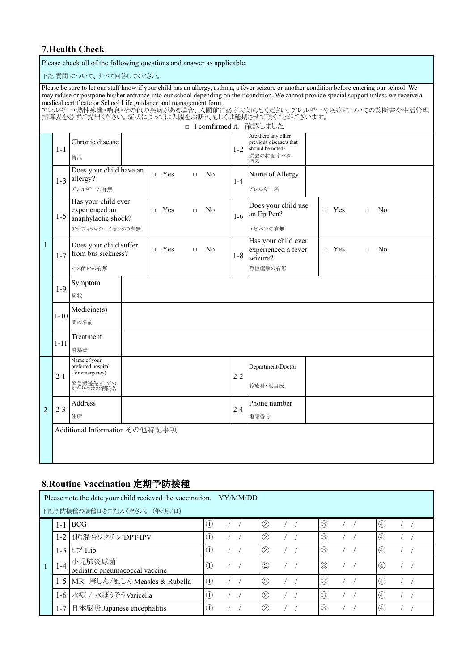#### **7.Health Check**

Please check all of the following questions and answer as applicable.

下記 質問 について、すべて回答してください。 Please be sure to let our staff know if your child has an allergy, asthma, a fever seizure or another condition before entering our school. We may refuse or postpone his/her entrance into our school depending on their condition. We cannot provide special support unless we receive a medical certificate or School Life guidance and management form. アレルギー・熱性痙攣・喘息・その他の疾病がある場合、入園前に必ずお知らせください。アレルギーや疾病についての診断書や生活管理 指導表を必ずご提出ください。症状によっては入園をお断り、もしくは延期させて頂くことがございます。 □ I comfirmed it. 確認しました 1 1-1 Chronic disease 1-2 Are there any other previous disease/s that should be noted? |持病||カメリカの情報||およびの情報||およびの特記すべき|<br>|お気気  $1-3$  allergy?  $\Box$  Yes  $\Box$  No Does your child have an 1-4 Name of Allergy アレルギーの有無 アレルギー名  $1-5$  anaphylactic shock? Has your child ever experienced an □ Yes □ No 1-6 Does your child use  $\begin{array}{c|c}\n\text{Does you mind use} \\
\text{an EpiPen?} \\
\end{array}$   $\begin{array}{ccc}\n\Box & \text{Yes} & \Box & \text{No} \\
\end{array}$ アナフィラキシーショックの有無 ノコココ フィー・コーク エピペンの有無 1-7 Does your child suffer From bus sickness?  $\Box$  Yes  $\Box$  No 1-8 Has your child ever experienced a fever seizure? □ Yes □ No バス酔いの有無 おおもの あいじょう しんしゃ おおし おおし あいのもの あいのち かいかん あいのち あいのち あいのち あいしゃ あいじょう 1-9 Symptom 症状 1-10 Medicine(s) 薬の名前 1-11 Treatment 対処法 2 2-1 Name of your preferred hospital (for emergency)  $2-2$ Department/Doctor 緊急搬送先としての |<br>かかりつけの病院名 | またのは、 | おりの | 診療科・担当医 2-3 Address 2-4 Phone number 住所 しょうしん しゅうしゃ しんしゃ しゅうしゅん しゅうしゅう おおおし おおおし しゅうしゅう しゅうしゅう しゅうしゅう しゅうしゅう しゅうしゅうしょ しゅうしゅうしょ Additional Information その他特記事項

#### **8.Routine Vaccination** 定期予防接種

|  | Please note the date your child recieved the vaccination. YY/MM/DD |                                          |                                |               |  |                |  |  |               |  |  |     |  |
|--|--------------------------------------------------------------------|------------------------------------------|--------------------------------|---------------|--|----------------|--|--|---------------|--|--|-----|--|
|  | 下記予防接種の接種日をご記入ください。 (年/月/日)                                        |                                          |                                |               |  |                |  |  |               |  |  |     |  |
|  |                                                                    | $1-1$ BCG                                | $\mathbb{O}$                   |               |  | $\circled{2}$  |  |  | $\circled{3}$ |  |  | (4) |  |
|  |                                                                    | 1-2 4種混合ワクチン DPT-IPV                     | $\mathbb{O}$                   |               |  | $\circled{2}$  |  |  | $\circled{3}$ |  |  | (4) |  |
|  |                                                                    | 1-3 ヒブ Hib                               | $\circled{1}$                  |               |  | $^{\circledR}$ |  |  | $\circled{3}$ |  |  | (4) |  |
|  | $1 - 4$                                                            | 小児肺炎球菌<br>pediatric pneumococcal vaccine | $\circled{1}$                  | $\frac{1}{2}$ |  | (2)            |  |  | $\circled{3}$ |  |  | (4) |  |
|  |                                                                    | 1-5 MR 麻しん/風しん Measles & Rubella         | $\circled{1}$                  |               |  | (2)            |  |  | $\circled{3}$ |  |  | (4) |  |
|  | $1-6$ <sup>1</sup>                                                 | 水痘 / 水ぼうそう Varicella                     | $\textcircled{\scriptsize{1}}$ |               |  | 2              |  |  | $\circled{3}$ |  |  | (4) |  |
|  | $1 - 7$                                                            | 日本脳炎 Japanese encephalitis               | $\mathbb{O}$                   |               |  | (2)            |  |  | $\circled{3}$ |  |  | (4) |  |